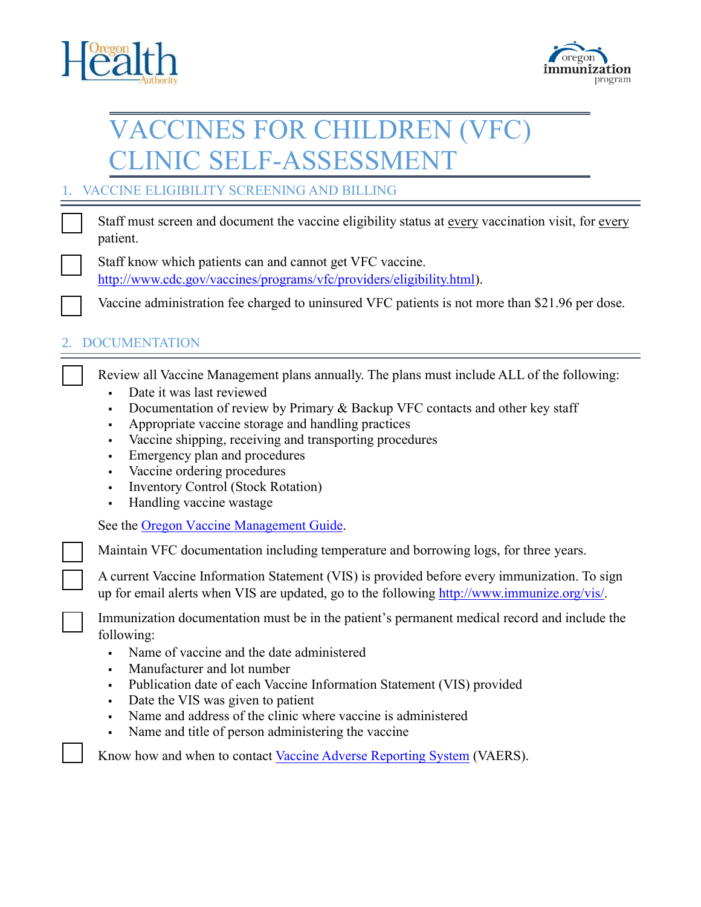



## VACCINES FOR CHILDREN (VFC) CLINIC SELF-ASSESSMENT

## 1. VACCINE ELIGIBILITY SCREENING AND BILLING

Staff must screen and document the vaccine eligibility status at every vaccination visit, for every patient.

Staff know which patients can and cannot get VFC vaccine. [http://www.cdc.gov/vaccines/programs/vfc/providers/eligibility.html\)](http://www.cdc.gov/vaccines/programs/vfc/providers/eligibility.html).

Vaccine administration fee charged to uninsured VFC patients is not more than \$21.96 per dose.

## 2. DOCUMENTATION

☐

Review all Vaccine Management plans annually. The plans must include ALL of the following:

- Date it was last reviewed
- Documentation of review by Primary & Backup VFC contacts and other key staff
- Appropriate vaccine storage and handling practices
- Vaccine shipping, receiving and transporting procedures
- Emergency plan and procedures
- Vaccine ordering procedures
- Inventory Control (Stock Rotation)
- **Handling vaccine wastage**

See the [Oregon Vaccine Management Guide.](http://public.health.oregon.gov/PreventionWellness/VaccinesImmunization/ImmunizationProviderResources/vfc/Documents/VFCVacMgmtGuide.pdf)

Maintain VFC documentation including temperature and borrowing logs, for three years.

☐ A current Vaccine Information Statement (VIS) is provided before every immunization. To sign up for email alerts when VIS are updated, go to the following [http://www.immunize.org/vis/.](http://www.immunize.org/vis/)

Immunization documentation must be in the patient's permanent medical record and include the following:

- Name of vaccine and the date administered
- Manufacturer and lot number
- Publication date of each Vaccine Information Statement (VIS) provided
- Date the VIS was given to patient
- Name and address of the clinic where vaccine is administered
- Name and title of person ad[ministering the vaccine](https://vaers.hhs.gov/index)

Know how and when to contact Vaccine Adverse Reporting System (VAERS).